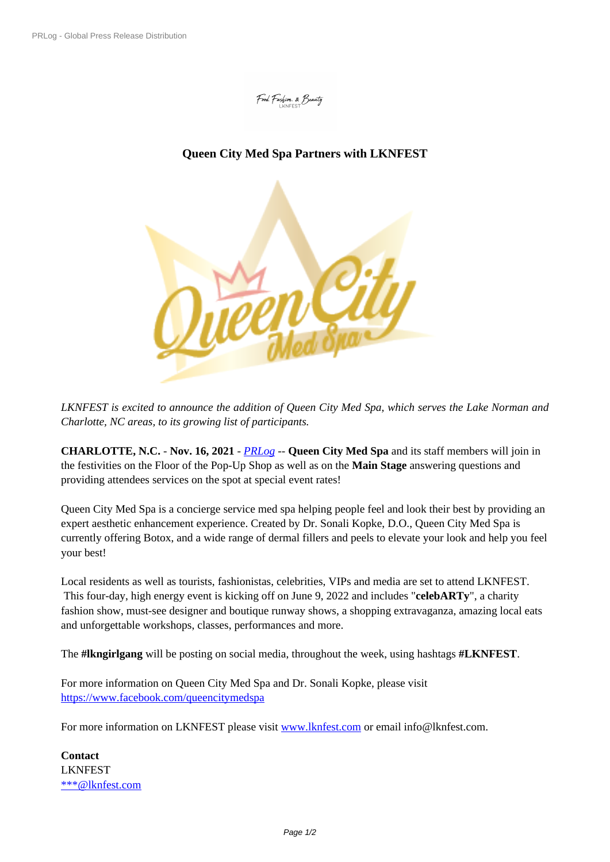Food, Fashion, & Beauty

## **Queen City [Med Spa Partners](https://biz.prlog.org/LKNFEST/) with LKNFEST**



*LKNFEST is excit[ed to announce the addition of Queen City Med Spa, which serv](https://www.prlog.org/12893913-queen-city-med-spa.png)es the Lake Norman and Charlotte, NC areas, to its growing list of participants.*

**CHARLOTTE, N.C.** - **Nov. 16, 2021** - *PRLog* -- **Queen City Med Spa** and its staff members will join in the festivities on the Floor of the Pop-Up Shop as well as on the **Main Stage** answering questions and providing attendees services on the spot at special event rates!

Queen City Med Spa is a concierge serv[ice med](https://www.prlog.org) spa helping people feel and look their best by providing an expert aesthetic enhancement experience. Created by Dr. Sonali Kopke, D.O., Queen City Med Spa is currently offering Botox, and a wide range of dermal fillers and peels to elevate your look and help you feel your best!

Local residents as well as tourists, fashionistas, celebrities, VIPs and media are set to attend LKNFEST. This four-day, high energy event is kicking off on June 9, 2022 and includes "**celebARTy**", a charity fashion show, must-see designer and boutique runway shows, a shopping extravaganza, amazing local eats and unforgettable workshops, classes, performances and more.

The **#lkngirlgang** will be posting on social media, throughout the week, using hashtags **#LKNFEST**.

For more information on Queen City Med Spa and Dr. Sonali Kopke, please visit https://www.facebook.com/queencitymedspa

For more information on LKNFEST please visit www.lknfest.com or email info@lknfest.com.

**[Contact](https://www.facebook.com/queencitymedspa)** LKNFEST \*\*\*@lknfest.com